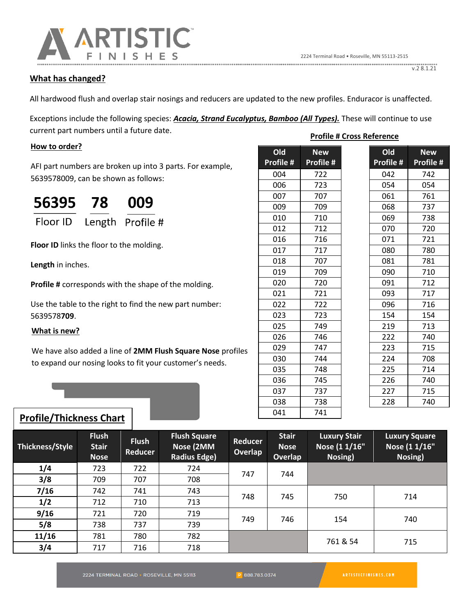

## **What has changed?**

All hardwood flush and overlap stair nosings and reducers are updated to the new profiles. Enduracor is unaffected.

Exceptions include the following species: *Acacia, Strand Eucalyptus, Bamboo (All Types).* These will continue to use current part numbers until a future date. **Profile # Cross Reference** 

#### **How to order?**

AFI part numbers are broken up into 3 parts. For example, 5639578009, can be shown as follows:

| 56395                     | 78 | 009 |  |
|---------------------------|----|-----|--|
| Floor ID Length Profile # |    |     |  |

**Floor ID** links the floor to the molding.

**Length** in inches.

**Profile #** corresponds with the shape of the molding.

Use the table to the right to find the new part number: 5639578**709**.

## **What is new?**

We have also added a line of **2MM Flush Square Nose** profiles to expand our nosing looks to fit your customer's needs.

| Old<br>Profile # | <b>New</b> |  |
|------------------|------------|--|
|                  | Profile #  |  |
| 004              | 722        |  |
| 006              | 723        |  |
| 007              | 707        |  |
| 009              | 709        |  |
| 010              | 710        |  |
| 012              | 712        |  |
| 016              | 716        |  |
| 017              | 717        |  |
| 018              | 707        |  |
| 019              | 709        |  |
| 020              | 720        |  |
| 021              | 721        |  |
| 022              | 722        |  |
| 023              | 723        |  |
| 025              | 749        |  |
| 026              | 746        |  |
| 029              | 747        |  |
| 030              | 744        |  |
| 035              | 748        |  |
| 036              | 745        |  |
| 037              | 737        |  |
| 038              | 738        |  |
| 041              | 741        |  |

# **Profile/Thickness Chart**

| Thickness/Style | <b>Flush</b><br><b>Stair</b><br><b>Nose</b> | <b>Flush</b><br><b>Reducer</b> | <b>Flush Square</b><br>Nose (2MM<br><b>Radius Edge)</b> | Reducer<br>Overlap | <b>Stair</b><br><b>Nose</b><br>Overlap | <b>Luxury Stair</b><br>Nose (1 1/16"<br>Nosing) | <b>Luxury Square</b><br>Nose (1 1/16"<br>Nosing) |
|-----------------|---------------------------------------------|--------------------------------|---------------------------------------------------------|--------------------|----------------------------------------|-------------------------------------------------|--------------------------------------------------|
| 1/4             | 723                                         | 722                            | 724                                                     | 747                | 744                                    |                                                 |                                                  |
| 3/8             | 709                                         | 707                            | 708                                                     |                    |                                        |                                                 |                                                  |
| 7/16            | 742                                         | 741                            | 743                                                     | 748                | 745                                    | 750                                             | 714                                              |
| 1/2             | 712                                         | 710                            | 713                                                     |                    |                                        |                                                 |                                                  |
| 9/16            | 721                                         | 720                            | 719                                                     | 749                | 746                                    | 154                                             | 740                                              |
| 5/8             | 738                                         | 737                            | 739                                                     |                    |                                        |                                                 |                                                  |
| 11/16           | 781                                         | 780                            | 782                                                     |                    |                                        | 761 & 54                                        | 715                                              |
| 3/4             | 717                                         | 716                            | 718                                                     |                    |                                        |                                                 |                                                  |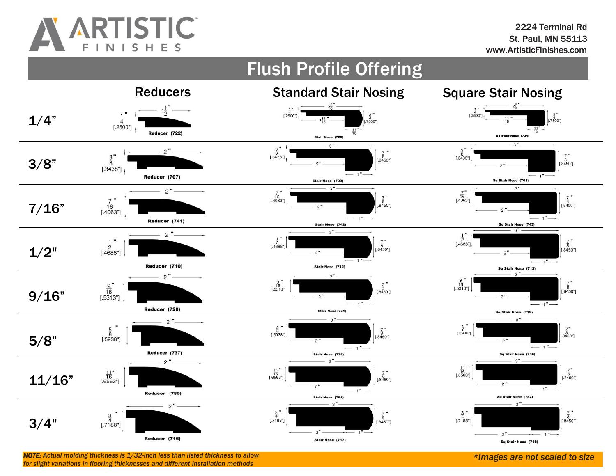

#### Flush Profile Offering Reducers Standard Stair Nosing Square Stair Nosing  $\begin{array}{c} 1 \\ \frac{1}{4} \\ \text{[.2500°]} \end{array}$  $\begin{array}{c} 1 \\ \frac{1}{4} \\ 1.2500 \\ \end{array}$  $\frac{3}{4}$ <br>[.7500"]  $\frac{3}{4}$ <br>.7500"] 1/4"  $[.2500"]$  $\frac{11}{16}$ " Reducer (722) Stair Nose (723) Sq Stair Nose (724)  $3"$  $\frac{3}{8}$ <br>[.3438"]  $2 \frac{7}{8}$ <br>[.8450]  $\begin{bmatrix} \frac{7}{8} \\ .8450 \end{bmatrix}$  $rac{3}{8}$  $[.3438!]$ 3/8"  $[.3438"]$ Reducer (707) Sq Stair Nose (708) Stair Nose (709)  $3 3"$  $2 \frac{7}{16}$  [.4063"]  $\frac{7}{16}$ [.4063]  $\begin{array}{c} \frac{7}{8} \\ 1.8450 \end{array}$  $\frac{7}{16}$ "<br>[.4063"]  $68 - 18450$ 7/16"  $-1"$ Reducer (741) Sq Stair Nose (743) Stair Nose (742)  $3"$  $2 \begin{bmatrix} \frac{1}{2} \\ .4688 \end{bmatrix}$  $\frac{1}{2}$  $1.4688$ "  $\frac{1}{8}$ [.8450"]  $^{8}_{0.8450"}$  $1/2"$  $[.4688"]$  $-1$ " $-$ Reducer (710) Stair Nose (712) Stair Nose (713)  $2"$  $\sim$ 3  $\begin{array}{c}\n 9 \\
 \frac{16}{16} \\
 \end{array}$  [.5313"]  $\frac{9}{16}$ <br>[.5313"]  $\begin{bmatrix} \frac{7}{8} \\ .8450 \end{bmatrix}$  $\frac{9}{16}$ "<br>[.5313"]  $\begin{array}{c}\n\frac{7}{8} \\
[.8450^\circ]\n\end{array}$ 9/16"  $-1$ <sup>-1</sup>  $1"$ Reducer (720) Stair Nose (721)  $(719$  $\sim$  $2 \frac{5}{8}$  = 1.5938"]  $\frac{5}{8}$ <br>[.5938"]  $\begin{bmatrix} \frac{7}{8} \\ .8450 \end{bmatrix}$  $\frac{5}{8}$  $\frac{7}{8}$  "<br>[.8450"] 5/8"  $[.5938"]$  $2 -1 -1$ <sup>-</sup> Reducer (737) Stair Nose (738) Sg Stair Nose (739)  $2"$  $3"$  $\sim$  $\frac{11}{16}$ <br>[.6563"]  $\frac{11}{16}$ [.6563]  $\begin{bmatrix} \frac{7}{8} \\ .8450^\circ \end{bmatrix}$  $\frac{11}{16}$ "<br>[.6563"]  $\frac{7}{8}$  "<br>[.8450"] 11/16"  $\sim$  $-1$ "  $-1$ <sup>\*</sup> Reducer (780) Sq Stair Nose (782) Stair Nose (781)  $3 \sim$  $2"$  $\begin{array}{c} 3 \\ 4 \\ \hline \end{array}$  [.7188"]  $\frac{7}{8}$  = [.8450]  $\frac{3}{4}$  $\begin{array}{c} \frac{7}{8} \\ 1.8450 \end{array}$  $\frac{3}{4}$  $[.7188"]$ 3/4"  $[.7188"]$  $2"$  $1 \overline{a}$ Reducer (716) Stair Nose (717) Sq Stair Nose (718)

*NOTE: Actual molding thickness is 1/32-inch less than listed thickness to allow \*Images are not scaled to size for slight variations in flooring thicknesses and different installation methods*